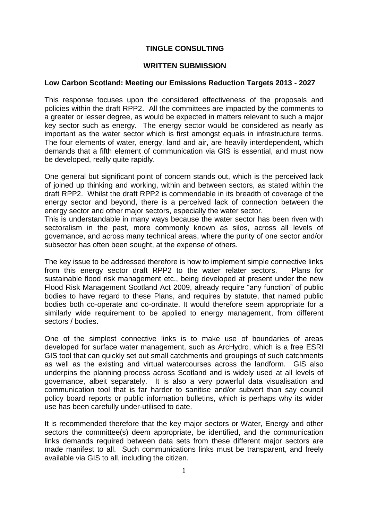# **TINGLE CONSULTING**

### **WRITTEN SUBMISSION**

## **Low Carbon Scotland: Meeting our Emissions Reduction Targets 2013 - 2027**

This response focuses upon the considered effectiveness of the proposals and policies within the draft RPP2. All the committees are impacted by the comments to a greater or lesser degree, as would be expected in matters relevant to such a major key sector such as energy. The energy sector would be considered as nearly as important as the water sector which is first amongst equals in infrastructure terms. The four elements of water, energy, land and air, are heavily interdependent, which demands that a fifth element of communication via GIS is essential, and must now be developed, really quite rapidly.

One general but significant point of concern stands out, which is the perceived lack of joined up thinking and working, within and between sectors, as stated within the draft RPP2. Whilst the draft RPP2 is commendable in its breadth of coverage of the energy sector and beyond, there is a perceived lack of connection between the energy sector and other major sectors, especially the water sector.

This is understandable in many ways because the water sector has been riven with sectoralism in the past, more commonly known as silos, across all levels of governance, and across many technical areas, where the purity of one sector and/or subsector has often been sought, at the expense of others.

The key issue to be addressed therefore is how to implement simple connective links from this energy sector draft RPP2 to the water relater sectors. Plans for sustainable flood risk management etc., being developed at present under the new Flood Risk Management Scotland Act 2009, already require "any function" of public bodies to have regard to these Plans, and requires by statute, that named public bodies both co-operate and co-ordinate. It would therefore seem appropriate for a similarly wide requirement to be applied to energy management, from different sectors / bodies.

One of the simplest connective links is to make use of boundaries of areas developed for surface water management, such as ArcHydro, which is a free ESRI GIS tool that can quickly set out small catchments and groupings of such catchments as well as the existing and virtual watercourses across the landform. GIS also underpins the planning process across Scotland and is widely used at all levels of governance, albeit separately. It is also a very powerful data visualisation and communication tool that is far harder to sanitise and/or subvert than say council policy board reports or public information bulletins, which is perhaps why its wider use has been carefully under-utilised to date.

It is recommended therefore that the key major sectors or Water, Energy and other sectors the committee(s) deem appropriate, be identified, and the communication links demands required between data sets from these different major sectors are made manifest to all. Such communications links must be transparent, and freely available via GIS to all, including the citizen.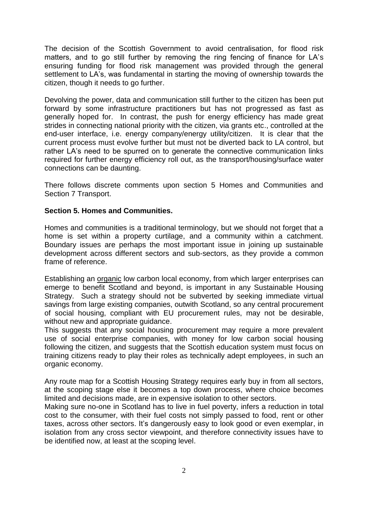The decision of the Scottish Government to avoid centralisation, for flood risk matters, and to go still further by removing the ring fencing of finance for LA's ensuring funding for flood risk management was provided through the general settlement to LA's, was fundamental in starting the moving of ownership towards the citizen, though it needs to go further.

Devolving the power, data and communication still further to the citizen has been put forward by some infrastructure practitioners but has not progressed as fast as generally hoped for. In contrast, the push for energy efficiency has made great strides in connecting national priority with the citizen, via grants etc., controlled at the end-user interface, i.e. energy company/energy utility/citizen. It is clear that the current process must evolve further but must not be diverted back to LA control, but rather LA's need to be spurred on to generate the connective communication links required for further energy efficiency roll out, as the transport/housing/surface water connections can be daunting.

There follows discrete comments upon section 5 Homes and Communities and Section 7 Transport.

# **Section 5. Homes and Communities.**

Homes and communities is a traditional terminology, but we should not forget that a home is set within a property curtilage, and a community within a catchment. Boundary issues are perhaps the most important issue in joining up sustainable development across different sectors and sub-sectors, as they provide a common frame of reference.

Establishing an organic low carbon local economy, from which larger enterprises can emerge to benefit Scotland and beyond, is important in any Sustainable Housing Strategy. Such a strategy should not be subverted by seeking immediate virtual savings from large existing companies, outwith Scotland, so any central procurement of social housing, compliant with EU procurement rules, may not be desirable, without new and appropriate guidance.

This suggests that any social housing procurement may require a more prevalent use of social enterprise companies, with money for low carbon social housing following the citizen, and suggests that the Scottish education system must focus on training citizens ready to play their roles as technically adept employees, in such an organic economy.

Any route map for a Scottish Housing Strategy requires early buy in from all sectors, at the scoping stage else it becomes a top down process, where choice becomes limited and decisions made, are in expensive isolation to other sectors.

Making sure no-one in Scotland has to live in fuel poverty, infers a reduction in total cost to the consumer, with their fuel costs not simply passed to food, rent or other taxes, across other sectors. It's dangerously easy to look good or even exemplar, in isolation from any cross sector viewpoint, and therefore connectivity issues have to be identified now, at least at the scoping level.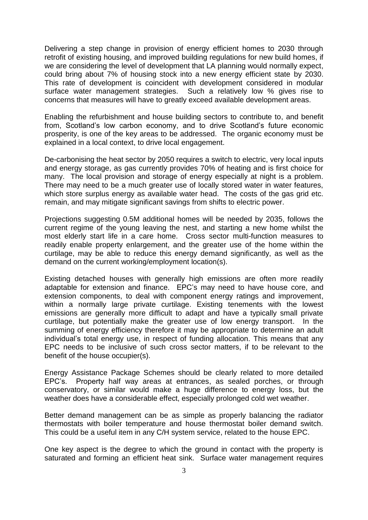Delivering a step change in provision of energy efficient homes to 2030 through retrofit of existing housing, and improved building regulations for new build homes, if we are considering the level of development that LA planning would normally expect, could bring about 7% of housing stock into a new energy efficient state by 2030. This rate of development is coincident with development considered in modular surface water management strategies. Such a relatively low % gives rise to concerns that measures will have to greatly exceed available development areas.

Enabling the refurbishment and house building sectors to contribute to, and benefit from, Scotland's low carbon economy, and to drive Scotland's future economic prosperity, is one of the key areas to be addressed. The organic economy must be explained in a local context, to drive local engagement.

De-carbonising the heat sector by 2050 requires a switch to electric, very local inputs and energy storage, as gas currently provides 70% of heating and is first choice for many. The local provision and storage of energy especially at night is a problem. There may need to be a much greater use of locally stored water in water features, which store surplus energy as available water head. The costs of the gas grid etc. remain, and may mitigate significant savings from shifts to electric power.

Projections suggesting 0.5M additional homes will be needed by 2035, follows the current regime of the young leaving the nest, and starting a new home whilst the most elderly start life in a care home. Cross sector multi-function measures to readily enable property enlargement, and the greater use of the home within the curtilage, may be able to reduce this energy demand significantly, as well as the demand on the current working/employment location(s).

Existing detached houses with generally high emissions are often more readily adaptable for extension and finance. EPC's may need to have house core, and extension components, to deal with component energy ratings and improvement, within a normally large private curtilage. Existing tenements with the lowest emissions are generally more difficult to adapt and have a typically small private curtilage, but potentially make the greater use of low energy transport. In the summing of energy efficiency therefore it may be appropriate to determine an adult individual's total energy use, in respect of funding allocation. This means that any EPC needs to be inclusive of such cross sector matters, if to be relevant to the benefit of the house occupier(s).

Energy Assistance Package Schemes should be clearly related to more detailed EPC's. Property half way areas at entrances, as sealed porches, or through conservatory, or similar would make a huge difference to energy loss, but the weather does have a considerable effect, especially prolonged cold wet weather.

Better demand management can be as simple as properly balancing the radiator thermostats with boiler temperature and house thermostat boiler demand switch. This could be a useful item in any C/H system service, related to the house EPC.

One key aspect is the degree to which the ground in contact with the property is saturated and forming an efficient heat sink. Surface water management requires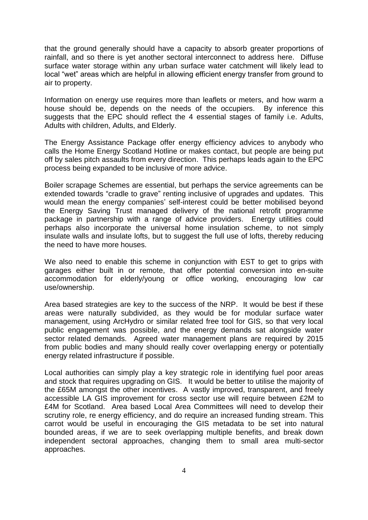that the ground generally should have a capacity to absorb greater proportions of rainfall, and so there is yet another sectoral interconnect to address here. Diffuse surface water storage within any urban surface water catchment will likely lead to local "wet" areas which are helpful in allowing efficient energy transfer from ground to air to property.

Information on energy use requires more than leaflets or meters, and how warm a house should be, depends on the needs of the occupiers. By inference this suggests that the EPC should reflect the 4 essential stages of family i.e. Adults, Adults with children, Adults, and Elderly.

The Energy Assistance Package offer energy efficiency advices to anybody who calls the Home Energy Scotland Hotline or makes contact, but people are being put off by sales pitch assaults from every direction. This perhaps leads again to the EPC process being expanded to be inclusive of more advice.

Boiler scrapage Schemes are essential, but perhaps the service agreements can be extended towards "cradle to grave" renting inclusive of upgrades and updates. This would mean the energy companies' self-interest could be better mobilised beyond the Energy Saving Trust managed delivery of the national retrofit programme package in partnership with a range of advice providers. Energy utilities could perhaps also incorporate the universal home insulation scheme, to not simply insulate walls and insulate lofts, but to suggest the full use of lofts, thereby reducing the need to have more houses.

We also need to enable this scheme in conjunction with EST to get to grips with garages either built in or remote, that offer potential conversion into en-suite accommodation for elderly/young or office working, encouraging low car use/ownership.

Area based strategies are key to the success of the NRP. It would be best if these areas were naturally subdivided, as they would be for modular surface water management, using ArcHydro or similar related free tool for GIS, so that very local public engagement was possible, and the energy demands sat alongside water sector related demands. Agreed water management plans are required by 2015 from public bodies and many should really cover overlapping energy or potentially energy related infrastructure if possible.

Local authorities can simply play a key strategic role in identifying fuel poor areas and stock that requires upgrading on GIS. It would be better to utilise the majority of the £65M amongst the other incentives. A vastly improved, transparent, and freely accessible LA GIS improvement for cross sector use will require between £2M to £4M for Scotland. Area based Local Area Committees will need to develop their scrutiny role, re energy efficiency, and do require an increased funding stream. This carrot would be useful in encouraging the GIS metadata to be set into natural bounded areas, if we are to seek overlapping multiple benefits, and break down independent sectoral approaches, changing them to small area multi-sector approaches.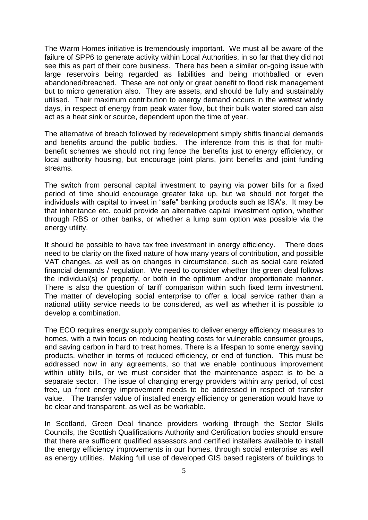The Warm Homes initiative is tremendously important. We must all be aware of the failure of SPP6 to generate activity within Local Authorities, in so far that they did not see this as part of their core business. There has been a similar on-going issue with large reservoirs being regarded as liabilities and being mothballed or even abandoned/breached. These are not only or great benefit to flood risk management but to micro generation also. They are assets, and should be fully and sustainably utilised. Their maximum contribution to energy demand occurs in the wettest windy days, in respect of energy from peak water flow, but their bulk water stored can also act as a heat sink or source, dependent upon the time of year.

The alternative of breach followed by redevelopment simply shifts financial demands and benefits around the public bodies. The inference from this is that for multibenefit schemes we should not ring fence the benefits just to energy efficiency, or local authority housing, but encourage joint plans, joint benefits and joint funding streams.

The switch from personal capital investment to paying via power bills for a fixed period of time should encourage greater take up, but we should not forget the individuals with capital to invest in "safe" banking products such as ISA's. It may be that inheritance etc. could provide an alternative capital investment option, whether through RBS or other banks, or whether a lump sum option was possible via the energy utility.

It should be possible to have tax free investment in energy efficiency. There does need to be clarity on the fixed nature of how many years of contribution, and possible VAT changes, as well as on changes in circumstance, such as social care related financial demands / regulation. We need to consider whether the green deal follows the individual(s) or property, or both in the optimum and/or proportionate manner. There is also the question of tariff comparison within such fixed term investment. The matter of developing social enterprise to offer a local service rather than a national utility service needs to be considered, as well as whether it is possible to develop a combination.

The ECO requires energy supply companies to deliver energy efficiency measures to homes, with a twin focus on reducing heating costs for vulnerable consumer groups, and saving carbon in hard to treat homes. There is a lifespan to some energy saving products, whether in terms of reduced efficiency, or end of function. This must be addressed now in any agreements, so that we enable continuous improvement within utility bills, or we must consider that the maintenance aspect is to be a separate sector. The issue of changing energy providers within any period, of cost free, up front energy improvement needs to be addressed in respect of transfer value. The transfer value of installed energy efficiency or generation would have to be clear and transparent, as well as be workable.

In Scotland, Green Deal finance providers working through the Sector Skills Councils, the Scottish Qualifications Authority and Certification bodies should ensure that there are sufficient qualified assessors and certified installers available to install the energy efficiency improvements in our homes, through social enterprise as well as energy utilities. Making full use of developed GIS based registers of buildings to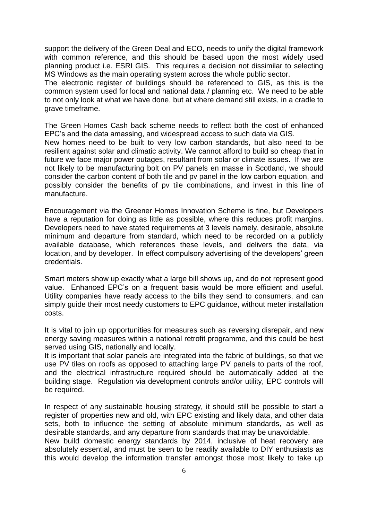support the delivery of the Green Deal and ECO, needs to unify the digital framework with common reference, and this should be based upon the most widely used planning product i.e. ESRI GIS. This requires a decision not dissimilar to selecting MS Windows as the main operating system across the whole public sector.

The electronic register of buildings should be referenced to GIS, as this is the common system used for local and national data / planning etc. We need to be able to not only look at what we have done, but at where demand still exists, in a cradle to grave timeframe.

The Green Homes Cash back scheme needs to reflect both the cost of enhanced EPC's and the data amassing, and widespread access to such data via GIS.

New homes need to be built to very low carbon standards, but also need to be resilient against solar and climatic activity. We cannot afford to build so cheap that in future we face major power outages, resultant from solar or climate issues. If we are not likely to be manufacturing bolt on PV panels en masse in Scotland, we should consider the carbon content of both tile and pv panel in the low carbon equation, and possibly consider the benefits of pv tile combinations, and invest in this line of manufacture.

Encouragement via the Greener Homes Innovation Scheme is fine, but Developers have a reputation for doing as little as possible, where this reduces profit margins. Developers need to have stated requirements at 3 levels namely, desirable, absolute minimum and departure from standard, which need to be recorded on a publicly available database, which references these levels, and delivers the data, via location, and by developer. In effect compulsory advertising of the developers' green credentials.

Smart meters show up exactly what a large bill shows up, and do not represent good value. Enhanced EPC's on a frequent basis would be more efficient and useful. Utility companies have ready access to the bills they send to consumers, and can simply guide their most needy customers to EPC guidance, without meter installation costs.

It is vital to join up opportunities for measures such as reversing disrepair, and new energy saving measures within a national retrofit programme, and this could be best served using GIS, nationally and locally.

It is important that solar panels are integrated into the fabric of buildings, so that we use PV tiles on roofs as opposed to attaching large PV panels to parts of the roof, and the electrical infrastructure required should be automatically added at the building stage. Regulation via development controls and/or utility, EPC controls will be required.

In respect of any sustainable housing strategy, it should still be possible to start a register of properties new and old, with EPC existing and likely data, and other data sets, both to influence the setting of absolute minimum standards, as well as desirable standards, and any departure from standards that may be unavoidable.

New build domestic energy standards by 2014, inclusive of heat recovery are absolutely essential, and must be seen to be readily available to DIY enthusiasts as this would develop the information transfer amongst those most likely to take up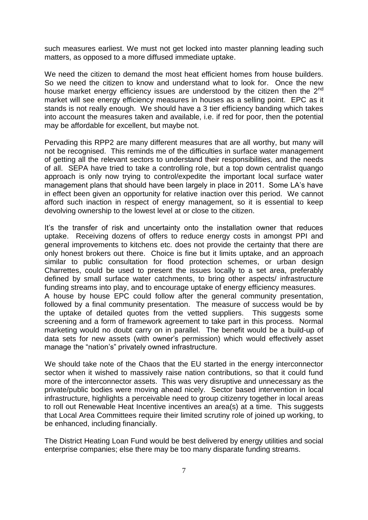such measures earliest. We must not get locked into master planning leading such matters, as opposed to a more diffused immediate uptake.

We need the citizen to demand the most heat efficient homes from house builders. So we need the citizen to know and understand what to look for. Once the new house market energy efficiency issues are understood by the citizen then the  $2<sup>nd</sup>$ market will see energy efficiency measures in houses as a selling point. EPC as it stands is not really enough. We should have a 3 tier efficiency banding which takes into account the measures taken and available, i.e. if red for poor, then the potential may be affordable for excellent, but maybe not.

Pervading this RPP2 are many different measures that are all worthy, but many will not be recognised. This reminds me of the difficulties in surface water management of getting all the relevant sectors to understand their responsibilities, and the needs of all. SEPA have tried to take a controlling role, but a top down centralist quango approach is only now trying to control/expedite the important local surface water management plans that should have been largely in place in 2011. Some LA's have in effect been given an opportunity for relative inaction over this period. We cannot afford such inaction in respect of energy management, so it is essential to keep devolving ownership to the lowest level at or close to the citizen.

It's the transfer of risk and uncertainty onto the installation owner that reduces uptake. Receiving dozens of offers to reduce energy costs in amongst PPI and general improvements to kitchens etc. does not provide the certainty that there are only honest brokers out there. Choice is fine but it limits uptake, and an approach similar to public consultation for flood protection schemes, or urban design Charrettes, could be used to present the issues locally to a set area, preferably defined by small surface water catchments, to bring other aspects/ infrastructure funding streams into play, and to encourage uptake of energy efficiency measures. A house by house EPC could follow after the general community presentation, followed by a final community presentation. The measure of success would be by the uptake of detailed quotes from the vetted suppliers. This suggests some screening and a form of framework agreement to take part in this process. Normal marketing would no doubt carry on in parallel. The benefit would be a build-up of data sets for new assets (with owner's permission) which would effectively asset

We should take note of the Chaos that the EU started in the energy interconnector sector when it wished to massively raise nation contributions, so that it could fund more of the interconnector assets. This was very disruptive and unnecessary as the private/public bodies were moving ahead nicely. Sector based intervention in local infrastructure, highlights a perceivable need to group citizenry together in local areas to roll out Renewable Heat Incentive incentives an area(s) at a time. This suggests that Local Area Committees require their limited scrutiny role of joined up working, to be enhanced, including financially.

manage the "nation's" privately owned infrastructure.

The District Heating Loan Fund would be best delivered by energy utilities and social enterprise companies; else there may be too many disparate funding streams.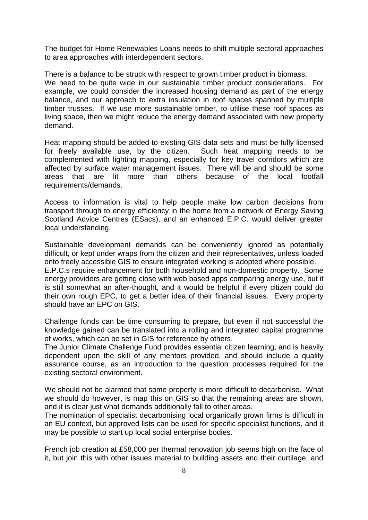The budget for Home Renewables Loans needs to shift multiple sectoral approaches to area approaches with interdependent sectors.

There is a balance to be struck with respect to grown timber product in biomass. We need to be quite wide in our sustainable timber product considerations. For example, we could consider the increased housing demand as part of the energy balance, and our approach to extra insulation in roof spaces spanned by multiple timber trusses. If we use more sustainable timber, to utilise these roof spaces as living space, then we might reduce the energy demand associated with new property demand.

Heat mapping should be added to existing GIS data sets and must be fully licensed for freely available use, by the citizen. Such heat mapping needs to be complemented with lighting mapping, especially for key travel corridors which are affected by surface water management issues. There will be and should be some areas that are lit more than others because of the local footfall requirements/demands.

Access to information is vital to help people make low carbon decisions from transport through to energy efficiency in the home from a network of Energy Saving Scotland Advice Centres (ESacs), and an enhanced E.P.C. would deliver greater local understanding.

Sustainable development demands can be conveniently ignored as potentially difficult, or kept under wraps from the citizen and their representatives, unless loaded onto freely accessible GIS to ensure integrated working is adopted where possible.

E.P.C.s require enhancement for both household and non-domestic property. Some energy providers are getting close with web based apps comparing energy use, but it is still somewhat an after-thought, and it would be helpful if every citizen could do their own rough EPC, to get a better idea of their financial issues. Every property should have an EPC on GIS.

Challenge funds can be time consuming to prepare, but even if not successful the knowledge gained can be translated into a rolling and integrated capital programme of works, which can be set in GIS for reference by others.

The Junior Climate Challenge Fund provides essential citizen learning, and is heavily dependent upon the skill of any mentors provided, and should include a quality assurance course, as an introduction to the question processes required for the existing sectoral environment.

We should not be alarmed that some property is more difficult to decarbonise. What we should do however, is map this on GIS so that the remaining areas are shown, and it is clear just what demands additionally fall to other areas.

The nomination of specialist decarbonising local organically grown firms is difficult in an EU context, but approved lists can be used for specific specialist functions, and it may be possible to start up local social enterprise bodies.

French job creation at £58,000 per thermal renovation job seems high on the face of it, but join this with other issues material to building assets and their curtilage, and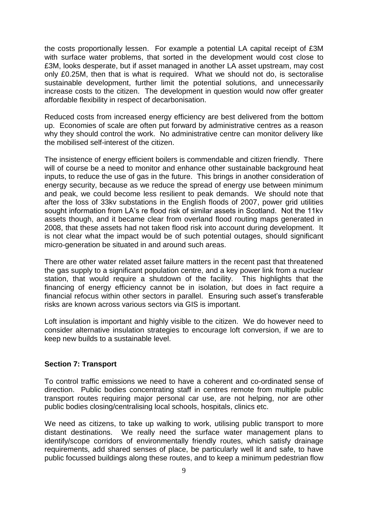the costs proportionally lessen. For example a potential LA capital receipt of £3M with surface water problems, that sorted in the development would cost close to £3M, looks desperate, but if asset managed in another LA asset upstream, may cost only £0.25M, then that is what is required. What we should not do, is sectoralise sustainable development, further limit the potential solutions, and unnecessarily increase costs to the citizen. The development in question would now offer greater affordable flexibility in respect of decarbonisation.

Reduced costs from increased energy efficiency are best delivered from the bottom up. Economies of scale are often put forward by administrative centres as a reason why they should control the work. No administrative centre can monitor delivery like the mobilised self-interest of the citizen.

The insistence of energy efficient boilers is commendable and citizen friendly. There will of course be a need to monitor and enhance other sustainable background heat inputs, to reduce the use of gas in the future. This brings in another consideration of energy security, because as we reduce the spread of energy use between minimum and peak, we could become less resilient to peak demands. We should note that after the loss of 33kv substations in the English floods of 2007, power grid utilities sought information from LA's re flood risk of similar assets in Scotland. Not the 11kv assets though, and it became clear from overland flood routing maps generated in 2008, that these assets had not taken flood risk into account during development. It is not clear what the impact would be of such potential outages, should significant micro-generation be situated in and around such areas.

There are other water related asset failure matters in the recent past that threatened the gas supply to a significant population centre, and a key power link from a nuclear station, that would require a shutdown of the facility. This highlights that the financing of energy efficiency cannot be in isolation, but does in fact require a financial refocus within other sectors in parallel. Ensuring such asset's transferable risks are known across various sectors via GIS is important.

Loft insulation is important and highly visible to the citizen. We do however need to consider alternative insulation strategies to encourage loft conversion, if we are to keep new builds to a sustainable level.

#### **Section 7: Transport**

To control traffic emissions we need to have a coherent and co-ordinated sense of direction. Public bodies concentrating staff in centres remote from multiple public transport routes requiring major personal car use, are not helping, nor are other public bodies closing/centralising local schools, hospitals, clinics etc.

We need as citizens, to take up walking to work, utilising public transport to more distant destinations. We really need the surface water management plans to identify/scope corridors of environmentally friendly routes, which satisfy drainage requirements, add shared senses of place, be particularly well lit and safe, to have public focussed buildings along these routes, and to keep a minimum pedestrian flow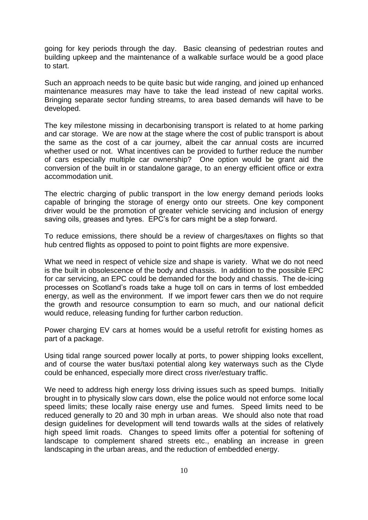going for key periods through the day. Basic cleansing of pedestrian routes and building upkeep and the maintenance of a walkable surface would be a good place to start.

Such an approach needs to be quite basic but wide ranging, and joined up enhanced maintenance measures may have to take the lead instead of new capital works. Bringing separate sector funding streams, to area based demands will have to be developed.

The key milestone missing in decarbonising transport is related to at home parking and car storage. We are now at the stage where the cost of public transport is about the same as the cost of a car journey, albeit the car annual costs are incurred whether used or not. What incentives can be provided to further reduce the number of cars especially multiple car ownership? One option would be grant aid the conversion of the built in or standalone garage, to an energy efficient office or extra accommodation unit.

The electric charging of public transport in the low energy demand periods looks capable of bringing the storage of energy onto our streets. One key component driver would be the promotion of greater vehicle servicing and inclusion of energy saving oils, greases and tyres. EPC's for cars might be a step forward.

To reduce emissions, there should be a review of charges/taxes on flights so that hub centred flights as opposed to point to point flights are more expensive.

What we need in respect of vehicle size and shape is variety. What we do not need is the built in obsolescence of the body and chassis. In addition to the possible EPC for car servicing, an EPC could be demanded for the body and chassis. The de-icing processes on Scotland's roads take a huge toll on cars in terms of lost embedded energy, as well as the environment. If we import fewer cars then we do not require the growth and resource consumption to earn so much, and our national deficit would reduce, releasing funding for further carbon reduction.

Power charging EV cars at homes would be a useful retrofit for existing homes as part of a package.

Using tidal range sourced power locally at ports, to power shipping looks excellent, and of course the water bus/taxi potential along key waterways such as the Clyde could be enhanced, especially more direct cross river/estuary traffic.

We need to address high energy loss driving issues such as speed bumps. Initially brought in to physically slow cars down, else the police would not enforce some local speed limits; these locally raise energy use and fumes. Speed limits need to be reduced generally to 20 and 30 mph in urban areas. We should also note that road design guidelines for development will tend towards walls at the sides of relatively high speed limit roads. Changes to speed limits offer a potential for softening of landscape to complement shared streets etc., enabling an increase in green landscaping in the urban areas, and the reduction of embedded energy.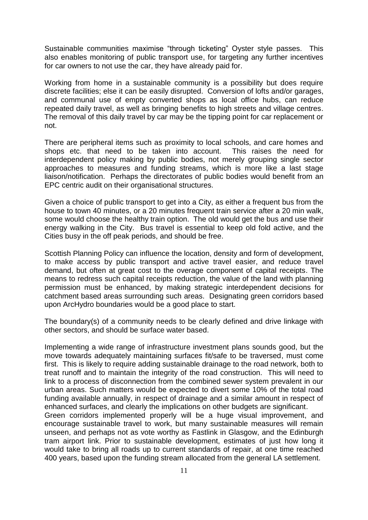Sustainable communities maximise "through ticketing" Oyster style passes. This also enables monitoring of public transport use, for targeting any further incentives for car owners to not use the car, they have already paid for.

Working from home in a sustainable community is a possibility but does require discrete facilities; else it can be easily disrupted. Conversion of lofts and/or garages, and communal use of empty converted shops as local office hubs, can reduce repeated daily travel, as well as bringing benefits to high streets and village centres. The removal of this daily travel by car may be the tipping point for car replacement or not.

There are peripheral items such as proximity to local schools, and care homes and shops etc. that need to be taken into account. This raises the need for interdependent policy making by public bodies, not merely grouping single sector approaches to measures and funding streams, which is more like a last stage liaison/notification. Perhaps the directorates of public bodies would benefit from an EPC centric audit on their organisational structures.

Given a choice of public transport to get into a City, as either a frequent bus from the house to town 40 minutes, or a 20 minutes frequent train service after a 20 min walk, some would choose the healthy train option. The old would get the bus and use their energy walking in the City. Bus travel is essential to keep old fold active, and the Cities busy in the off peak periods, and should be free.

Scottish Planning Policy can influence the location, density and form of development, to make access by public transport and active travel easier, and reduce travel demand, but often at great cost to the overage component of capital receipts. The means to redress such capital receipts reduction, the value of the land with planning permission must be enhanced, by making strategic interdependent decisions for catchment based areas surrounding such areas. Designating green corridors based upon ArcHydro boundaries would be a good place to start.

The boundary(s) of a community needs to be clearly defined and drive linkage with other sectors, and should be surface water based.

Implementing a wide range of infrastructure investment plans sounds good, but the move towards adequately maintaining surfaces fit/safe to be traversed, must come first. This is likely to require adding sustainable drainage to the road network, both to treat runoff and to maintain the integrity of the road construction. This will need to link to a process of disconnection from the combined sewer system prevalent in our urban areas. Such matters would be expected to divert some 10% of the total road funding available annually, in respect of drainage and a similar amount in respect of enhanced surfaces, and clearly the implications on other budgets are significant.

Green corridors implemented properly will be a huge visual improvement, and encourage sustainable travel to work, but many sustainable measures will remain unseen, and perhaps not as vote worthy as Fastlink in Glasgow, and the Edinburgh tram airport link. Prior to sustainable development, estimates of just how long it would take to bring all roads up to current standards of repair, at one time reached 400 years, based upon the funding stream allocated from the general LA settlement.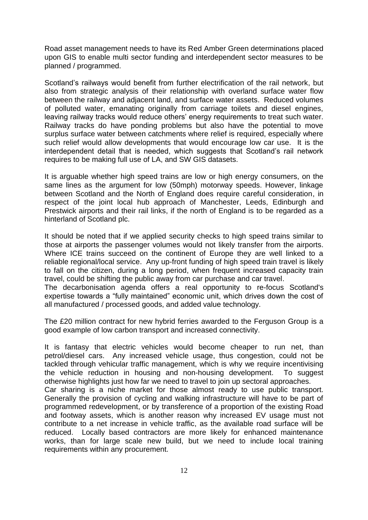Road asset management needs to have its Red Amber Green determinations placed upon GIS to enable multi sector funding and interdependent sector measures to be planned / programmed.

Scotland's railways would benefit from further electrification of the rail network, but also from strategic analysis of their relationship with overland surface water flow between the railway and adjacent land, and surface water assets. Reduced volumes of polluted water, emanating originally from carriage toilets and diesel engines, leaving railway tracks would reduce others' energy requirements to treat such water. Railway tracks do have ponding problems but also have the potential to move surplus surface water between catchments where relief is required, especially where such relief would allow developments that would encourage low car use. It is the interdependent detail that is needed, which suggests that Scotland's rail network requires to be making full use of LA, and SW GIS datasets.

It is arguable whether high speed trains are low or high energy consumers, on the same lines as the argument for low (50mph) motorway speeds. However, linkage between Scotland and the North of England does require careful consideration, in respect of the joint local hub approach of Manchester, Leeds, Edinburgh and Prestwick airports and their rail links, if the north of England is to be regarded as a hinterland of Scotland plc.

It should be noted that if we applied security checks to high speed trains similar to those at airports the passenger volumes would not likely transfer from the airports. Where ICE trains succeed on the continent of Europe they are well linked to a reliable regional/local service. Any up-front funding of high speed train travel is likely to fall on the citizen, during a long period, when frequent increased capacity train travel, could be shifting the public away from car purchase and car travel.

The decarbonisation agenda offers a real opportunity to re-focus Scotland's expertise towards a "fully maintained" economic unit, which drives down the cost of all manufactured / processed goods, and added value technology.

The £20 million contract for new hybrid ferries awarded to the Ferguson Group is a good example of low carbon transport and increased connectivity.

It is fantasy that electric vehicles would become cheaper to run net, than petrol/diesel cars. Any increased vehicle usage, thus congestion, could not be tackled through vehicular traffic management, which is why we require incentivising the vehicle reduction in housing and non-housing development. To suggest otherwise highlights just how far we need to travel to join up sectoral approaches.

Car sharing is a niche market for those almost ready to use public transport. Generally the provision of cycling and walking infrastructure will have to be part of programmed redevelopment, or by transference of a proportion of the existing Road and footway assets, which is another reason why increased EV usage must not contribute to a net increase in vehicle traffic, as the available road surface will be reduced. Locally based contractors are more likely for enhanced maintenance works, than for large scale new build, but we need to include local training requirements within any procurement.